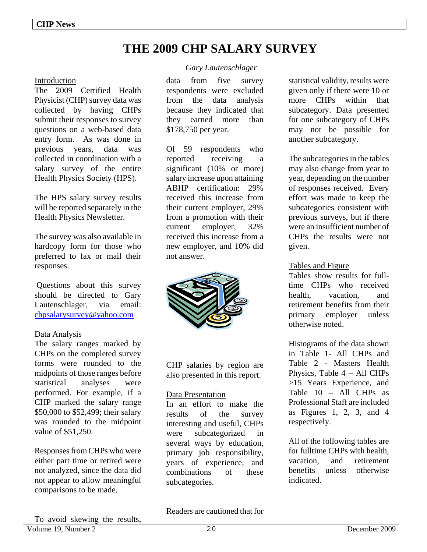# **THE 2009 CHP SALARY SURVEY**

#### Introduction

The 2009 Certified Health Physicist (CHP) survey data was collected by having CHPs submit their responses to survey questions on a web-based data entry form. As was done in previous years, data was collected in coordination with a salary survey of the entire Health Physics Society (HPS).

The HPS salary survey results will be reported separately in the Health Physics Newsletter.

The survey was also available in hardcopy form for those who preferred to fax or mail their responses.

 Questions about this survey should be directed to Gary Lautenschlager, via email: chpsalarysurvey@yahoo.com

#### Data Analysis

The salary ranges marked by CHPs on the completed survey forms were rounded to the midpoints of those ranges before statistical analyses were performed. For example, if a CHP marked the salary range \$50,000 to \$52,499; their salary was rounded to the midpoint value of \$51,250.

Responses from CHPs who were either part time or retired were not analyzed, since the data did not appear to allow meaningful comparisons to be made.

#### *Gary Lautenschlager*

data from five survey respondents were excluded from the data analysis because they indicated that they earned more than \$178,750 per year.

Of 59 respondents who reported receiving a significant (10% or more) salary increase upon attaining ABHP certification: 29% received this increase from their current employer, 29% from a promotion with their current employer, 32% received this increase from a new employer, and 10% did not answer.



CHP salaries by region are also presented in this report.

#### Data Presentation

In an effort to make the results of the survey interesting and useful, CHPs were subcategorized in several ways by education, primary job responsibility, years of experience, and combinations of these subcategories.

statistical validity, results were given only if there were 10 or more CHPs within that subcategory. Data presented for one subcategory of CHPs may not be possible for another subcategory.

The subcategories in the tables may also change from year to year, depending on the number of responses received. Every effort was made to keep the subcategories consistent with previous surveys, but if there were an insufficient number of CHPs the results were not given.

#### Tables and Figure

Tables show results for fulltime CHPs who received health, vacation, and retirement benefits from their primary employer unless otherwise noted.

Histograms of the data shown in Table 1- All CHPs and Table 2 - Masters Health Physics, Table 4 – All CHPs >15 Years Experience, and Table 10 – All CHPs as Professional Staff are included as Figures 1, 2, 3, and 4 respectively.

All of the following tables are for fulltime CHPs with health, vacation, and retirement benefits unless otherwise indicated.

Readers are cautioned that for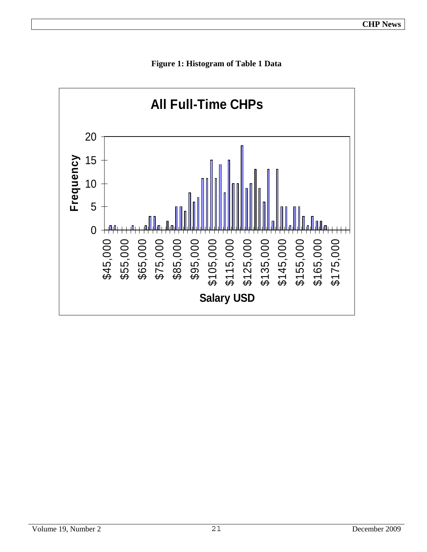

**Figure 1: Histogram of Table 1 Data**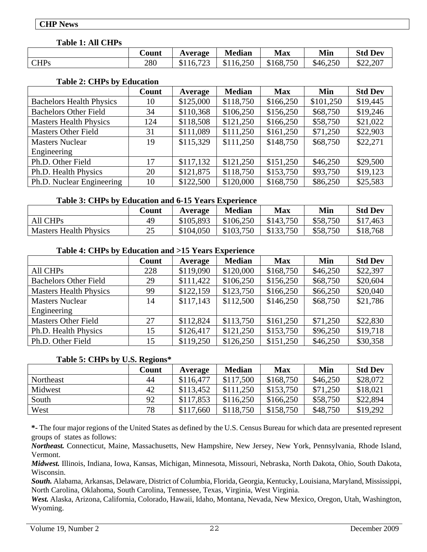## **CHP News**

## **Table 1: All CHPs**

|             | <b>Count</b> | Average              | <b>Median</b> | <b>Max</b>          | Min      | <b>Std Dev</b> |
|-------------|--------------|----------------------|---------------|---------------------|----------|----------------|
| <b>CHPs</b> | 280          | 723<br>\$116.7<br>رے | \$116,250     | 750<br>168.7<br>\$1 | \$46,250 | \$22,207       |

# **Table 2: CHPs by Education**

|                                 | Count | Average   | <b>Median</b> | <b>Max</b> | Min       | <b>Std Dev</b> |
|---------------------------------|-------|-----------|---------------|------------|-----------|----------------|
| <b>Bachelors Health Physics</b> | 10    | \$125,000 | \$118,750     | \$166,250  | \$101,250 | \$19,445       |
| <b>Bachelors Other Field</b>    | 34    | \$110,368 | \$106,250     | \$156,250  | \$68,750  | \$19,246       |
| <b>Masters Health Physics</b>   | 124   | \$118,508 | \$121,250     | \$166,250  | \$58,750  | \$21,022       |
| <b>Masters Other Field</b>      | 31    | \$111,089 | \$111,250     | \$161,250  | \$71,250  | \$22,903       |
| <b>Masters Nuclear</b>          | 19    | \$115,329 | \$111,250     | \$148,750  | \$68,750  | \$22,271       |
| Engineering                     |       |           |               |            |           |                |
| Ph.D. Other Field               | 17    | \$117,132 | \$121,250     | \$151,250  | \$46,250  | \$29,500       |
| Ph.D. Health Physics            | 20    | \$121,875 | \$118,750     | \$153,750  | \$93,750  | \$19,123       |
| Ph.D. Nuclear Engineering       | 10    | \$122,500 | \$120,000     | \$168,750  | \$86,250  | \$25,583       |

#### **Table 3: CHPs by Education and 6-15 Years Experience**

|                               | Count    | Average   | <b>Median</b> | Max       | Min      | <b>Std Dev</b> |
|-------------------------------|----------|-----------|---------------|-----------|----------|----------------|
| All CHPs                      | 49       | \$105,893 | \$106,250     | \$143,750 | \$58,750 | \$17,463       |
| <b>Masters Health Physics</b> | າເ<br>نك | \$104,050 | \$103,750     | \$133,750 | \$58,750 | \$18,768       |

#### **Table 4: CHPs by Education and >15 Years Experience**

|                               | Count | Average   | <b>Median</b> | <b>Max</b> | Min      | <b>Std Dev</b> |
|-------------------------------|-------|-----------|---------------|------------|----------|----------------|
| All CHPs                      | 228   | \$119,090 | \$120,000     | \$168,750  | \$46,250 | \$22,397       |
| <b>Bachelors Other Field</b>  | 29    | \$111,422 | \$106,250     | \$156,250  | \$68,750 | \$20,604       |
| <b>Masters Health Physics</b> | 99    | \$122,159 | \$123,750     | \$166,250  | \$66,250 | \$20,040       |
| <b>Masters Nuclear</b>        | 14    | \$117,143 | \$112,500     | \$146,250  | \$68,750 | \$21,786       |
| Engineering                   |       |           |               |            |          |                |
| <b>Masters Other Field</b>    | 27    | \$112,824 | \$113,750     | \$161,250  | \$71,250 | \$22,830       |
| Ph.D. Health Physics          | 15    | \$126,417 | \$121,250     | \$153,750  | \$96,250 | \$19,718       |
| Ph.D. Other Field             | 15    | \$119,250 | \$126,250     | \$151,250  | \$46,250 | \$30,358       |

#### **Table 5: CHPs by U.S. Regions\***

|           | Count | Average   | <b>Median</b> | <b>Max</b> | Min      | <b>Std Dev</b> |
|-----------|-------|-----------|---------------|------------|----------|----------------|
| Northeast | 44    | \$116,477 | \$117,500     | \$168,750  | \$46,250 | \$28,072       |
| Midwest   | 42    | \$113,452 | \$111.250     | \$153,750  | \$71,250 | \$18,021       |
| South     | 92    | \$117,853 | \$116,250     | \$166,250  | \$58,750 | \$22,894       |
| West      | 78    | \$117,660 | \$118,750     | \$158,750  | \$48,750 | \$19,292       |

**\*-** The four major regions of the United States as defined by the U.S. Census Bureau for which data are presented represent groups of states as follows:

*Northeast.* Connecticut, Maine, Massachusetts, New Hampshire, New Jersey, New York, Pennsylvania, Rhode Island, Vermont.

*Midwest.* Illinois, Indiana, Iowa, Kansas, Michigan, Minnesota, Missouri, Nebraska, North Dakota, Ohio, South Dakota, Wisconsin.

*South.* Alabama, Arkansas, Delaware, District of Columbia, Florida, Georgia, Kentucky, Louisiana, Maryland, Mississippi, North Carolina, Oklahoma, South Carolina, Tennessee, Texas, Virginia, West Virginia.

*West.* Alaska, Arizona, California, Colorado, Hawaii, Idaho, Montana, Nevada, New Mexico, Oregon, Utah, Washington, Wyoming.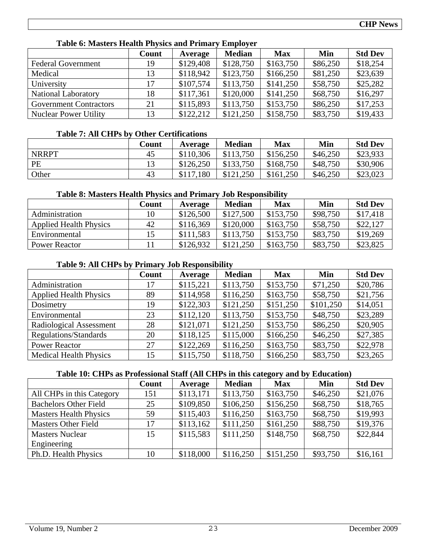| $1.0010$ of $1.1000$ cords and $1.0000$ cords and $1.00000$ functionally and $1.00000$ |       |           |               |            |          |                |  |  |  |
|----------------------------------------------------------------------------------------|-------|-----------|---------------|------------|----------|----------------|--|--|--|
|                                                                                        | Count | Average   | <b>Median</b> | <b>Max</b> | Min      | <b>Std Dev</b> |  |  |  |
| <b>Federal Government</b>                                                              | 19    | \$129,408 | \$128,750     | \$163,750  | \$86,250 | \$18,254       |  |  |  |
| Medical                                                                                | 13    | \$118,942 | \$123,750     | \$166,250  | \$81,250 | \$23,639       |  |  |  |
| University                                                                             |       | \$107,574 | \$113,750     | \$141,250  | \$58,750 | \$25,282       |  |  |  |
| <b>National Laboratory</b>                                                             | 18    | \$117,361 | \$120,000     | \$141,250  | \$68,750 | \$16,297       |  |  |  |
| <b>Government Contractors</b>                                                          | 21    | \$115,893 | \$113,750     | \$153,750  | \$86,250 | \$17,253       |  |  |  |
| <b>Nuclear Power Utility</b>                                                           | 13    | \$122,212 | \$121,250     | \$158,750  | \$83,750 | \$19,433       |  |  |  |

# **Table 6: Masters Health Physics and Primary Employer**

# **Table 7: All CHPs by Other Certifications**

|              | Count | Average   | <b>Median</b> | Max       | Min      | <b>Std Dev</b> |
|--------------|-------|-----------|---------------|-----------|----------|----------------|
| <b>NRRPT</b> | 45    | \$110,306 | \$113,750     | \$156,250 | \$46,250 | \$23,933       |
| PE           | 19    | \$126,250 | \$133,750     | \$168,750 | \$48,750 | \$30,906       |
| Other        | 43    | \$117,180 | \$121,250     | \$161,250 | \$46,250 | \$23,023       |

# **Table 8: Masters Health Physics and Primary Job Responsibility**

|                               | Count | Average   | <b>Median</b> | <b>Max</b> | Min      | <b>Std Dev</b> |
|-------------------------------|-------|-----------|---------------|------------|----------|----------------|
| Administration                |       | \$126,500 | \$127,500     | \$153,750  | \$98,750 | \$17,418       |
| <b>Applied Health Physics</b> | 42    | \$116,369 | \$120,000     | \$163,750  | \$58,750 | \$22,127       |
| Environmental                 |       | \$111,583 | \$113,750     | \$153,750  | \$83,750 | \$19,269       |
| <b>Power Reactor</b>          |       | \$126,932 | \$121.250     | \$163,750  | \$83,750 | \$23,825       |

# **Table 9: All CHPs by Primary Job Responsibility**

|                               | Count | Average   | <b>Median</b> | <b>Max</b> | Min       | <b>Std Dev</b> |
|-------------------------------|-------|-----------|---------------|------------|-----------|----------------|
| Administration                | 17    | \$115,221 | \$113,750     | \$153,750  | \$71,250  | \$20,786       |
| <b>Applied Health Physics</b> | 89    | \$114,958 | \$116,250     | \$163,750  | \$58,750  | \$21,756       |
| Dosimetry                     | 19    | \$122,303 | \$121,250     | \$151,250  | \$101,250 | \$14,051       |
| Environmental                 | 23    | \$112,120 | \$113,750     | \$153,750  | \$48,750  | \$23,289       |
| Radiological Assessment       | 28    | \$121,071 | \$121,250     | \$153,750  | \$86,250  | \$20,905       |
| Regulations/Standards         | 20    | \$118,125 | \$115,000     | \$166,250  | \$46,250  | \$27,385       |
| <b>Power Reactor</b>          | 27    | \$122,269 | \$116,250     | \$163,750  | \$83,750  | \$22,978       |
| <b>Medical Health Physics</b> | 15    | \$115,750 | \$118,750     | \$166,250  | \$83,750  | \$23,265       |

# **Table 10: CHPs as Professional Staff (All CHPs in this category and by Education)**

|                               | Count | Average   | <b>Median</b> | <b>Max</b> | Min      | <b>Std Dev</b> |
|-------------------------------|-------|-----------|---------------|------------|----------|----------------|
| All CHPs in this Category     | 151   | \$113,171 | \$113,750     | \$163,750  | \$46,250 | \$21,076       |
| <b>Bachelors Other Field</b>  | 25    | \$109,850 | \$106,250     | \$156,250  | \$68,750 | \$18,765       |
| <b>Masters Health Physics</b> | 59    | \$115,403 | \$116,250     | \$163,750  | \$68,750 | \$19,993       |
| <b>Masters Other Field</b>    | 17    | \$113,162 | \$111,250     | \$161,250  | \$88,750 | \$19,376       |
| <b>Masters Nuclear</b>        | 15    | \$115,583 | \$111,250     | \$148,750  | \$68,750 | \$22,844       |
| Engineering                   |       |           |               |            |          |                |
| Ph.D. Health Physics          | 10    | \$118,000 | \$116,250     | \$151,250  | \$93,750 | \$16,161       |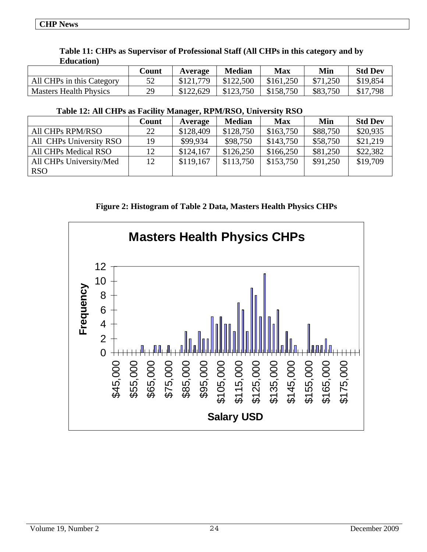| Lautani i                     |       |           |               |           |          |                |
|-------------------------------|-------|-----------|---------------|-----------|----------|----------------|
|                               | Count | Average   | <b>Median</b> | Max       | Min      | <b>Std Dev</b> |
| All CHPs in this Category     | 52    | \$121,779 | \$122,500     | \$161,250 | \$71,250 | \$19,854       |
| <b>Masters Health Physics</b> | 29    | \$122,629 | \$123,750     | \$158,750 | \$83,750 | .798<br>\$17   |

#### **Table 11: CHPs as Supervisor of Professional Staff (All CHPs in this category and by Education)**

# **Table 12: All CHPs as Facility Manager, RPM/RSO, University RSO**

|                         | Count | Average   | <b>Median</b> | <b>Max</b> | Min      | <b>Std Dev</b> |
|-------------------------|-------|-----------|---------------|------------|----------|----------------|
| All CHPs RPM/RSO        | 22    | \$128,409 | \$128,750     | \$163,750  | \$88,750 | \$20,935       |
| All CHPs University RSO | 19    | \$99,934  | \$98,750      | \$143,750  | \$58,750 | \$21,219       |
| All CHPs Medical RSO    | 12    | \$124,167 | \$126,250     | \$166,250  | \$81,250 | \$22,382       |
| All CHPs University/Med | 12    | \$119,167 | \$113,750     | \$153,750  | \$91,250 | \$19,709       |
| <b>RSO</b>              |       |           |               |            |          |                |

**Figure 2: Histogram of Table 2 Data, Masters Health Physics CHPs**